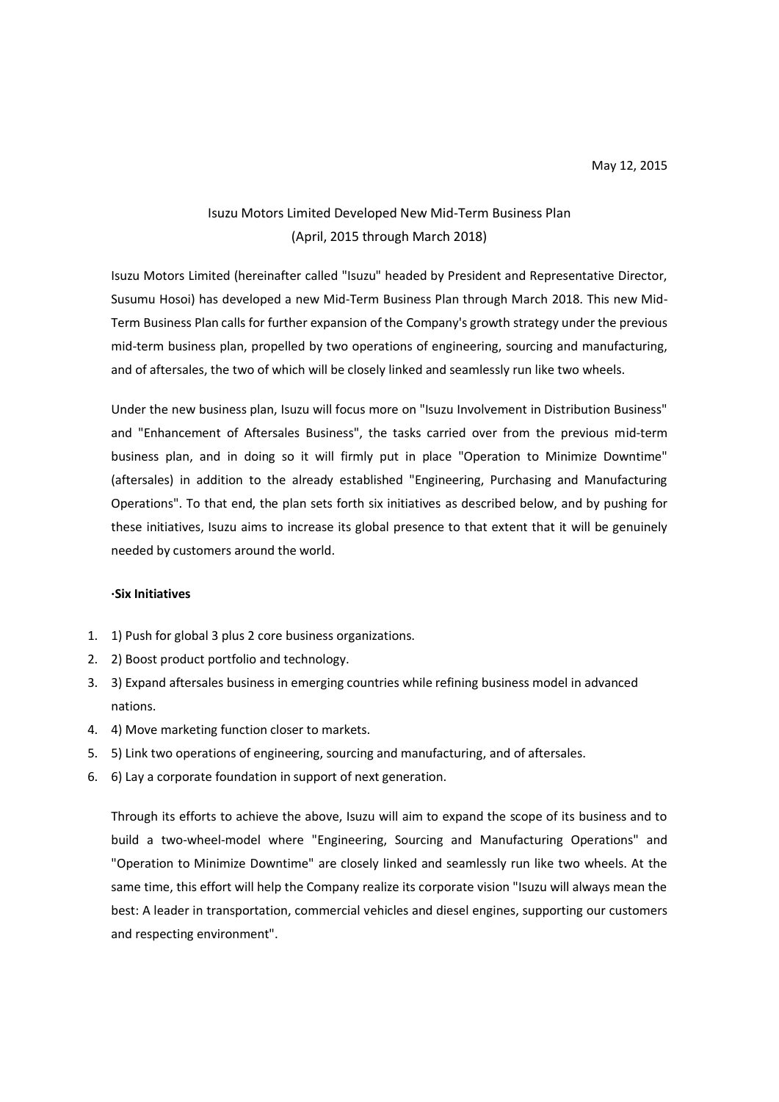## Isuzu Motors Limited Developed New Mid-Term Business Plan (April, 2015 through March 2018)

Isuzu Motors Limited (hereinafter called "Isuzu" headed by President and Representative Director, Susumu Hosoi) has developed a new Mid-Term Business Plan through March 2018. This new Mid-Term Business Plan calls for further expansion of the Company's growth strategy under the previous mid-term business plan, propelled by two operations of engineering, sourcing and manufacturing, and of aftersales, the two of which will be closely linked and seamlessly run like two wheels.

Under the new business plan, Isuzu will focus more on "Isuzu Involvement in Distribution Business" and "Enhancement of Aftersales Business", the tasks carried over from the previous mid-term business plan, and in doing so it will firmly put in place "Operation to Minimize Downtime" (aftersales) in addition to the already established "Engineering, Purchasing and Manufacturing Operations". To that end, the plan sets forth six initiatives as described below, and by pushing for these initiatives, Isuzu aims to increase its global presence to that extent that it will be genuinely needed by customers around the world.

## **·Six Initiatives**

- 1. 1) Push for global 3 plus 2 core business organizations.
- 2. 2) Boost product portfolio and technology.
- 3. 3) Expand aftersales business in emerging countries while refining business model in advanced nations.
- 4. 4) Move marketing function closer to markets.
- 5. 5) Link two operations of engineering, sourcing and manufacturing, and of aftersales.
- 6. 6) Lay a corporate foundation in support of next generation.

Through its efforts to achieve the above, Isuzu will aim to expand the scope of its business and to build a two-wheel-model where "Engineering, Sourcing and Manufacturing Operations" and "Operation to Minimize Downtime" are closely linked and seamlessly run like two wheels. At the same time, this effort will help the Company realize its corporate vision "Isuzu will always mean the best: A leader in transportation, commercial vehicles and diesel engines, supporting our customers and respecting environment".